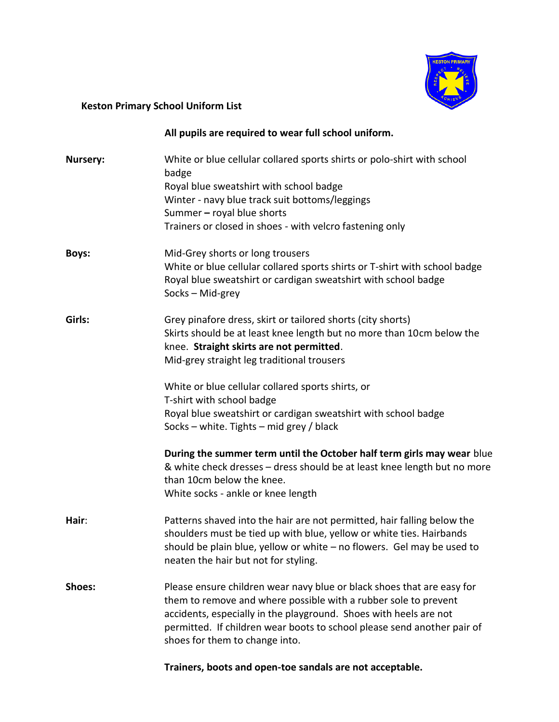

## **Keston Primary School Uniform List**

|                 | All pupils are required to wear full school uniform.                                                                                                                                                                                                                                                                                                                                                                                                                                                                                                                                                                                                    |
|-----------------|---------------------------------------------------------------------------------------------------------------------------------------------------------------------------------------------------------------------------------------------------------------------------------------------------------------------------------------------------------------------------------------------------------------------------------------------------------------------------------------------------------------------------------------------------------------------------------------------------------------------------------------------------------|
| <b>Nursery:</b> | White or blue cellular collared sports shirts or polo-shirt with school<br>badge<br>Royal blue sweatshirt with school badge<br>Winter - navy blue track suit bottoms/leggings<br>Summer - royal blue shorts<br>Trainers or closed in shoes - with velcro fastening only                                                                                                                                                                                                                                                                                                                                                                                 |
| Boys:           | Mid-Grey shorts or long trousers<br>White or blue cellular collared sports shirts or T-shirt with school badge<br>Royal blue sweatshirt or cardigan sweatshirt with school badge<br>Socks - Mid-grey                                                                                                                                                                                                                                                                                                                                                                                                                                                    |
| Girls:          | Grey pinafore dress, skirt or tailored shorts (city shorts)<br>Skirts should be at least knee length but no more than 10cm below the<br>knee. Straight skirts are not permitted.<br>Mid-grey straight leg traditional trousers<br>White or blue cellular collared sports shirts, or<br>T-shirt with school badge<br>Royal blue sweatshirt or cardigan sweatshirt with school badge<br>Socks - white. Tights - mid grey / black<br>During the summer term until the October half term girls may wear blue<br>& white check dresses - dress should be at least knee length but no more<br>than 10cm below the knee.<br>White socks - ankle or knee length |
| Hair:           | Patterns shaved into the hair are not permitted, hair falling below the<br>shoulders must be tied up with blue, yellow or white ties. Hairbands<br>should be plain blue, yellow or white - no flowers. Gel may be used to<br>neaten the hair but not for styling.                                                                                                                                                                                                                                                                                                                                                                                       |
| Shoes:          | Please ensure children wear navy blue or black shoes that are easy for<br>them to remove and where possible with a rubber sole to prevent<br>accidents, especially in the playground. Shoes with heels are not<br>permitted. If children wear boots to school please send another pair of<br>shoes for them to change into.                                                                                                                                                                                                                                                                                                                             |

**Trainers, boots and open-toe sandals are not acceptable.**